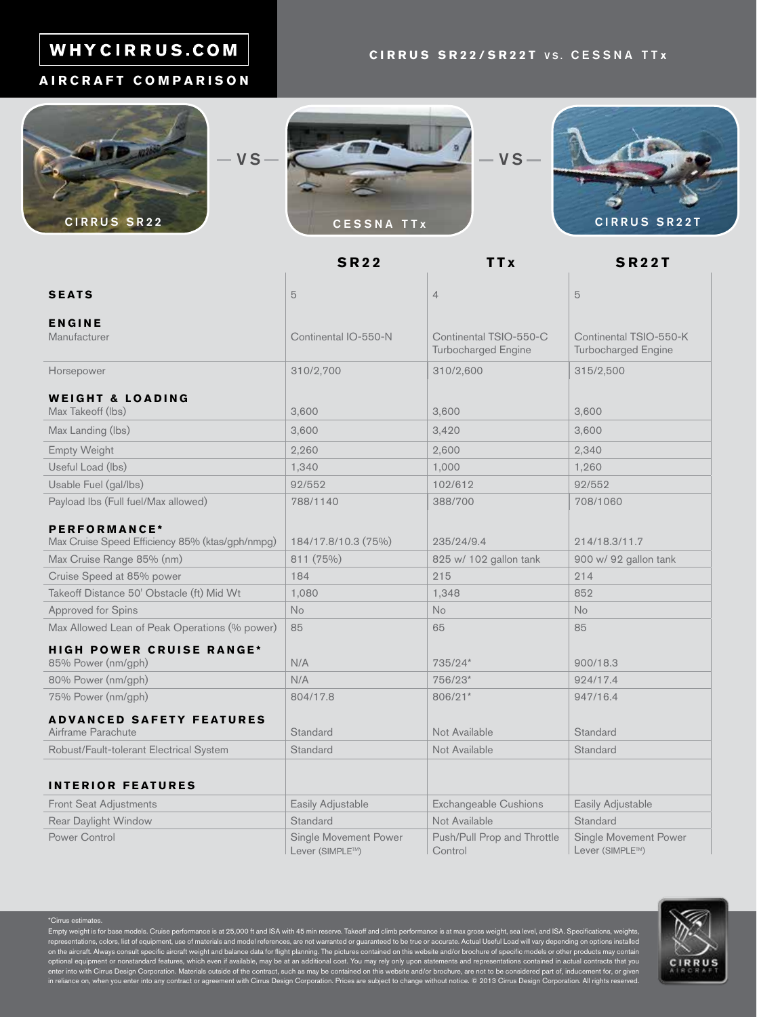# WHYCIRRUS.COM

## **AIRCRAFT COMPARISON**







**SR22 TTx SR22T** 

| <b>SEATS</b>                                                    | 5                                        | $\overline{4}$                         | 5                                        |
|-----------------------------------------------------------------|------------------------------------------|----------------------------------------|------------------------------------------|
|                                                                 |                                          |                                        |                                          |
| <b>ENGINE</b><br>Manufacturer                                   | Continental IO-550-N                     | Continental TSIO-550-C                 | Continental TSIO-550-K                   |
|                                                                 |                                          | Turbocharged Engine                    | Turbocharged Engine                      |
| Horsepower                                                      | 310/2,700                                | 310/2,600                              | 315/2,500                                |
| <b>WEIGHT &amp; LOADING</b>                                     |                                          |                                        |                                          |
| Max Takeoff (lbs)                                               | 3,600                                    | 3,600                                  | 3,600                                    |
| Max Landing (lbs)                                               | 3,600                                    | 3,420                                  | 3,600                                    |
| <b>Empty Weight</b>                                             | 2,260                                    | 2,600                                  | 2,340                                    |
| Useful Load (lbs)                                               | 1,340                                    | 1,000                                  | 1,260                                    |
| Usable Fuel (gal/lbs)                                           | 92/552                                   | 102/612                                | 92/552                                   |
| Payload Ibs (Full fuel/Max allowed)                             | 788/1140                                 | 388/700                                | 708/1060                                 |
|                                                                 |                                          |                                        |                                          |
| PERFORMANCE*<br>Max Cruise Speed Efficiency 85% (ktas/gph/nmpg) | 184/17.8/10.3 (75%)                      | 235/24/9.4                             | 214/18.3/11.7                            |
| Max Cruise Range 85% (nm)                                       | 811 (75%)                                | 825 w/ 102 gallon tank                 | 900 w/ 92 gallon tank                    |
| Cruise Speed at 85% power                                       | 184                                      | 215                                    | 214                                      |
| Takeoff Distance 50' Obstacle (ft) Mid Wt                       | 1,080                                    | 1,348                                  | 852                                      |
| Approved for Spins                                              | <b>No</b>                                | <b>No</b>                              | No                                       |
| Max Allowed Lean of Peak Operations (% power)                   | 85                                       | 65                                     | 85                                       |
| <b>HIGH POWER CRUISE RANGE*</b>                                 |                                          |                                        |                                          |
| 85% Power (nm/gph)                                              | N/A                                      | 735/24*                                | 900/18.3                                 |
| 80% Power (nm/gph)                                              | N/A                                      | 756/23*                                | 924/17.4                                 |
| 75% Power (nm/gph)                                              | 804/17.8                                 | 806/21*                                | 947/16.4                                 |
| <b>ADVANCED SAFETY FEATURES</b>                                 |                                          |                                        |                                          |
| Airframe Parachute                                              | Standard                                 | Not Available                          | Standard                                 |
| Robust/Fault-tolerant Electrical System                         | <b>Standard</b>                          | Not Available                          | Standard                                 |
|                                                                 |                                          |                                        |                                          |
| <b>INTERIOR FEATURES</b>                                        |                                          |                                        |                                          |
| <b>Front Seat Adjustments</b>                                   | Easily Adjustable                        | <b>Exchangeable Cushions</b>           | Easily Adjustable                        |
| Rear Daylight Window                                            | Standard                                 | Not Available                          | Standard                                 |
| <b>Power Control</b>                                            | Single Movement Power<br>Lever (SIMPLE™) | Push/Pull Prop and Throttle<br>Control | Single Movement Power<br>Lever (SIMPLE™) |

\*Cirrus estimates.

Empty weight is for base models. Cruise performance is at 25,000 ft and ISA with 45 min reserve. Takeoff and climb performance is at max gross weight, sea level, and ISA. Specifications, weights, representations, colors, list of equipment, use of materials and model references, are not warranted or guaranteed to be true or accurate. Actual Useful Load will vary depending on options installed<br>on the aircraft. Always